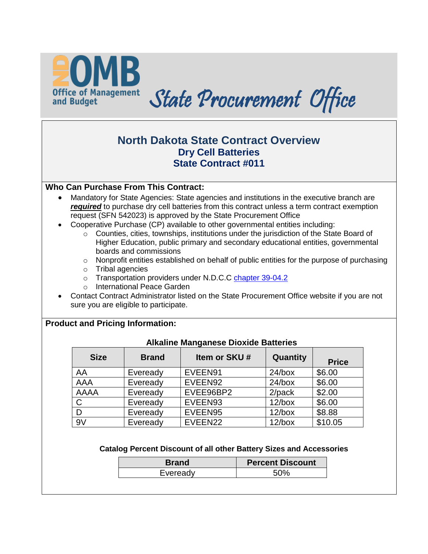

# **North Dakota State Contract Overview Dry Cell Batteries State Contract #011**

## **Who Can Purchase From This Contract:**

- Mandatory for State Agencies: State agencies and institutions in the executive branch are **required** to purchase dry cell batteries from this contract unless a term contract exemption request (SFN 542023) is approved by the State Procurement Office
- Cooperative Purchase (CP) available to other governmental entities including:
	- o Counties, cities, townships, institutions under the jurisdiction of the State Board of Higher Education, public primary and secondary educational entities, governmental boards and commissions
	- $\circ$  Nonprofit entities established on behalf of public entities for the purpose of purchasing
	- o Tribal agencies
	- o Transportation providers under N.D.C.C [chapter 39-04.2](http://www.legis.nd.gov/cencode/t39c04-2.pdf?20130131161514)
	- o International Peace Garden
- Contact Contract Administrator listed on the State Procurement Office website if you are not sure you are eligible to participate.

# **Product and Pricing Information:**

| <b>Size</b>  | <b>Brand</b> | Item or SKU# | Quantity  | <b>Price</b> |
|--------------|--------------|--------------|-----------|--------------|
| AA           | Eveready     | EVEEN91      | $24/b$ ox | \$6.00       |
| AAA          | Eveready     | EVEEN92      | $24$ /box | \$6.00       |
| AAAA         | Eveready     | EVEE96BP2    | $2$ /pack | \$2.00       |
| $\mathsf{C}$ | Eveready     | EVEEN93      | $12$ /box | \$6.00       |
| D            | Eveready     | EVEEN95      | $12$ /box | \$8.88       |
| 9V           | Eveready     | EVEEN22      | $12$ /box | \$10.05      |

# **Alkaline Manganese Dioxide Batteries**

#### **Catalog Percent Discount of all other Battery Sizes and Accessories**

| <b>Brand</b> | <b>Percent Discount</b> |
|--------------|-------------------------|
| Eveready     |                         |